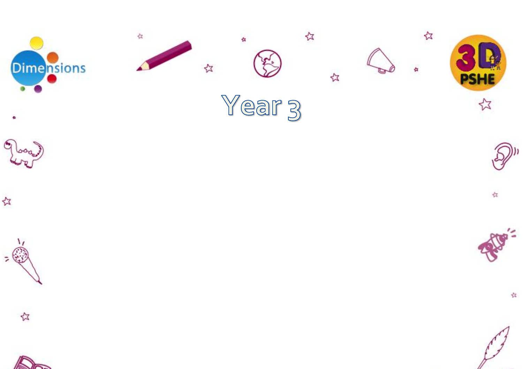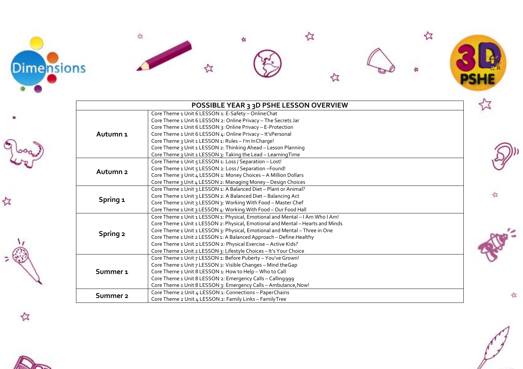

٩

公







☆

☆



公



|                     | <b>POSSIBLE YEAR 3 3D PSHE LESSON OVERVIEW</b>                                  |  |
|---------------------|---------------------------------------------------------------------------------|--|
| Autumn <sub>1</sub> | Core Theme 1 Unit 6 LESSON 1: E-Safety - Online Chat                            |  |
|                     | Core Theme 1 Unit 6 LESSON 2: Online Privacy - The Secrets Jar                  |  |
|                     | Core Theme 1 Unit 6 LESSON 3: Online Privacy - E-Protection                     |  |
|                     | Core Theme 1 Unit 6 LESSON 4: Online Privacy - It's Personal                    |  |
|                     | Core Theme 3 Unit 1 LESSON 1: Rules - I'm In Charge!                            |  |
|                     | Core Theme 3 Unit 1 LESSON 2: Thinking Ahead - Lesson Planning                  |  |
|                     | Core Theme 3 Unit 1 LESSON 3: Taking the Lead - Learning Time                   |  |
| Autumn <sub>2</sub> | Core Theme 1 Unit 5 LESSON 1: Loss / Separation - Lost!                         |  |
|                     | Core Theme 1 Unit 5 LESSON 2: Loss / Separation - Found!                        |  |
|                     | Core Theme 3 Unit 4 LESSON 1: Money Choices - A Million Dollars                 |  |
|                     | Core Theme 3 Unit 4 LESSON 2: Managing Money - Design Choices                   |  |
| Spring 1            | Core Theme 1 Unit 3 LESSON 1: A Balanced Diet - Plant or Animal?                |  |
|                     | Core Theme 1 Unit 3 LESSON 2: A Balanced Diet - Balancing Act                   |  |
|                     | Core Theme 1 Unit 3 LESSON 3: Working With Food - Master Chef                   |  |
|                     | Core Theme 1 Unit 3 LESSON 4: Working With Food - Our Food Hall                 |  |
| Spring 2            | Core Theme 1 Unit 1 LESSON 1: Physical, Emotional and Mental - I Am Who I Am!   |  |
|                     | Core Theme 1 Unit 1 LESSON 2: Physical, Emotional and Mental - Hearts and Minds |  |
|                     | Core Theme 1 Unit 1 LESSON 3: Physical, Emotional and Mental - Three in One     |  |
|                     | Core Theme 1 Unit 2 LESSON 1: A Balanced Approach - Define: Healthy             |  |
|                     | Core Theme 1 Unit 2 LESSON 2: Physical Exercise - Active Kids?                  |  |
|                     | Core Theme 1 Unit 2 LESSON 3: Lifestyle Choices - It's Your Choice              |  |
| Summer <sub>1</sub> | Core Theme 1 Unit 7 LESSON 1: Before Puberty - You've Grown!                    |  |
|                     | Core Theme 1 Unit 7 LESSON 2: Visible Changes - Mind the Gap                    |  |
|                     | Core Theme 1 Unit 8 LESSON 1: How to Help - Who to Call                         |  |
|                     | Core Theme 1 Unit 8 LESSON 2: Emergency Calls - Calling999                      |  |
|                     | Core Theme 1 Unit 8 LESSON 3: Emergency Calls - Ambulance, Now!                 |  |
| Summer 2            | Core Theme 2 Unit 4 LESSON 1: Connections - PaperChains                         |  |
|                     | Core Theme 2 Unit 4 LESSON 2: Family Links - Family Tree                        |  |



存



幸



公